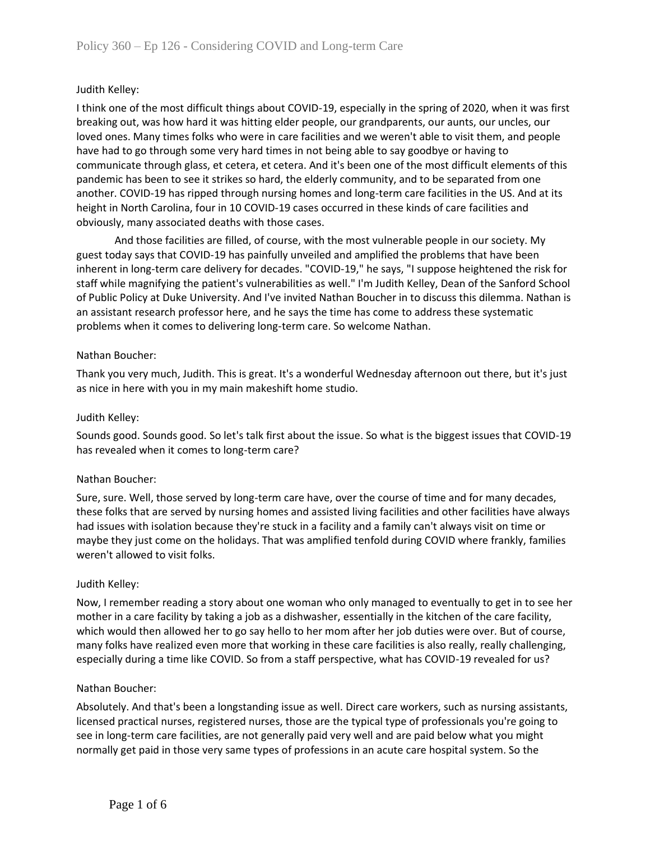# Judith Kelley:

I think one of the most difficult things about COVID-19, especially in the spring of 2020, when it was first breaking out, was how hard it was hitting elder people, our grandparents, our aunts, our uncles, our loved ones. Many times folks who were in care facilities and we weren't able to visit them, and people have had to go through some very hard times in not being able to say goodbye or having to communicate through glass, et cetera, et cetera. And it's been one of the most difficult elements of this pandemic has been to see it strikes so hard, the elderly community, and to be separated from one another. COVID-19 has ripped through nursing homes and long-term care facilities in the US. And at its height in North Carolina, four in 10 COVID-19 cases occurred in these kinds of care facilities and obviously, many associated deaths with those cases.

And those facilities are filled, of course, with the most vulnerable people in our society. My guest today says that COVID-19 has painfully unveiled and amplified the problems that have been inherent in long-term care delivery for decades. "COVID-19," he says, "I suppose heightened the risk for staff while magnifying the patient's vulnerabilities as well." I'm Judith Kelley, Dean of the Sanford School of Public Policy at Duke University. And I've invited Nathan Boucher in to discuss this dilemma. Nathan is an assistant research professor here, and he says the time has come to address these systematic problems when it comes to delivering long-term care. So welcome Nathan.

### Nathan Boucher:

Thank you very much, Judith. This is great. It's a wonderful Wednesday afternoon out there, but it's just as nice in here with you in my main makeshift home studio.

#### Judith Kelley:

Sounds good. Sounds good. So let's talk first about the issue. So what is the biggest issues that COVID-19 has revealed when it comes to long-term care?

### Nathan Boucher:

Sure, sure. Well, those served by long-term care have, over the course of time and for many decades, these folks that are served by nursing homes and assisted living facilities and other facilities have always had issues with isolation because they're stuck in a facility and a family can't always visit on time or maybe they just come on the holidays. That was amplified tenfold during COVID where frankly, families weren't allowed to visit folks.

#### Judith Kelley:

Now, I remember reading a story about one woman who only managed to eventually to get in to see her mother in a care facility by taking a job as a dishwasher, essentially in the kitchen of the care facility, which would then allowed her to go say hello to her mom after her job duties were over. But of course, many folks have realized even more that working in these care facilities is also really, really challenging, especially during a time like COVID. So from a staff perspective, what has COVID-19 revealed for us?

#### Nathan Boucher:

Absolutely. And that's been a longstanding issue as well. Direct care workers, such as nursing assistants, licensed practical nurses, registered nurses, those are the typical type of professionals you're going to see in long-term care facilities, are not generally paid very well and are paid below what you might normally get paid in those very same types of professions in an acute care hospital system. So the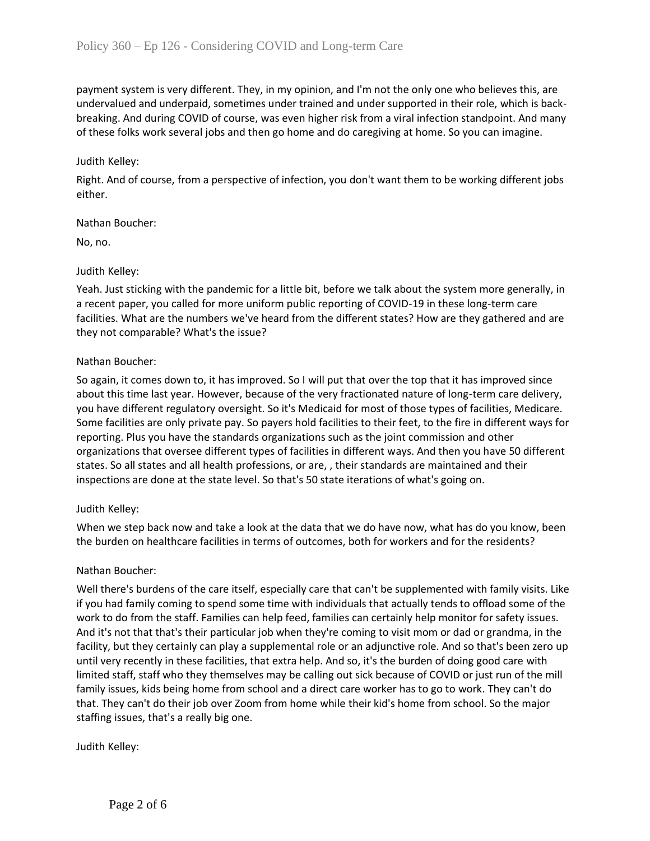payment system is very different. They, in my opinion, and I'm not the only one who believes this, are undervalued and underpaid, sometimes under trained and under supported in their role, which is backbreaking. And during COVID of course, was even higher risk from a viral infection standpoint. And many of these folks work several jobs and then go home and do caregiving at home. So you can imagine.

### Judith Kelley:

Right. And of course, from a perspective of infection, you don't want them to be working different jobs either.

### Nathan Boucher:

No, no.

### Judith Kelley:

Yeah. Just sticking with the pandemic for a little bit, before we talk about the system more generally, in a recent paper, you called for more uniform public reporting of COVID-19 in these long-term care facilities. What are the numbers we've heard from the different states? How are they gathered and are they not comparable? What's the issue?

### Nathan Boucher:

So again, it comes down to, it has improved. So I will put that over the top that it has improved since about this time last year. However, because of the very fractionated nature of long-term care delivery, you have different regulatory oversight. So it's Medicaid for most of those types of facilities, Medicare. Some facilities are only private pay. So payers hold facilities to their feet, to the fire in different ways for reporting. Plus you have the standards organizations such as the joint commission and other organizations that oversee different types of facilities in different ways. And then you have 50 different states. So all states and all health professions, or are, , their standards are maintained and their inspections are done at the state level. So that's 50 state iterations of what's going on.

### Judith Kelley:

When we step back now and take a look at the data that we do have now, what has do you know, been the burden on healthcare facilities in terms of outcomes, both for workers and for the residents?

### Nathan Boucher:

Well there's burdens of the care itself, especially care that can't be supplemented with family visits. Like if you had family coming to spend some time with individuals that actually tends to offload some of the work to do from the staff. Families can help feed, families can certainly help monitor for safety issues. And it's not that that's their particular job when they're coming to visit mom or dad or grandma, in the facility, but they certainly can play a supplemental role or an adjunctive role. And so that's been zero up until very recently in these facilities, that extra help. And so, it's the burden of doing good care with limited staff, staff who they themselves may be calling out sick because of COVID or just run of the mill family issues, kids being home from school and a direct care worker has to go to work. They can't do that. They can't do their job over Zoom from home while their kid's home from school. So the major staffing issues, that's a really big one.

### Judith Kelley: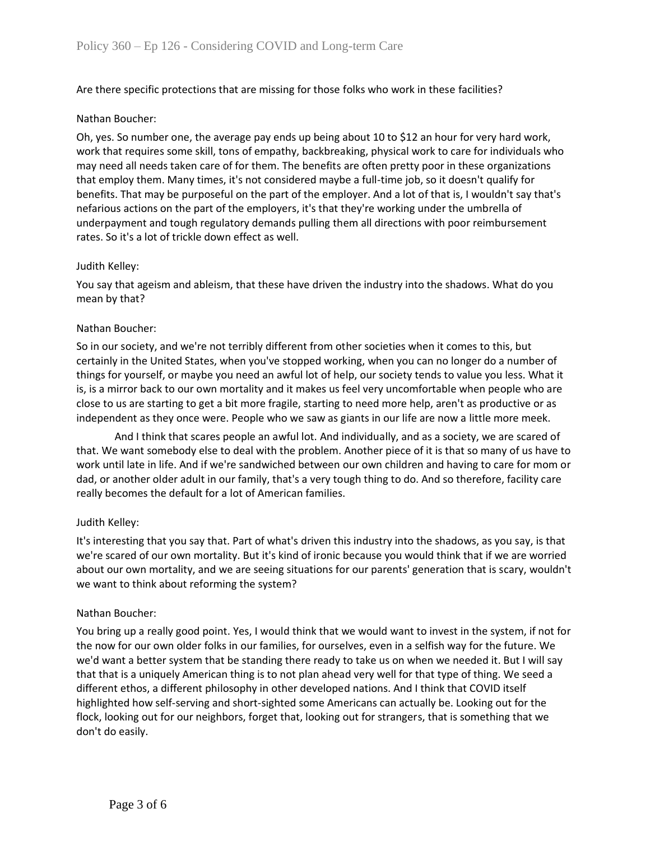Are there specific protections that are missing for those folks who work in these facilities?

### Nathan Boucher:

Oh, yes. So number one, the average pay ends up being about 10 to \$12 an hour for very hard work, work that requires some skill, tons of empathy, backbreaking, physical work to care for individuals who may need all needs taken care of for them. The benefits are often pretty poor in these organizations that employ them. Many times, it's not considered maybe a full-time job, so it doesn't qualify for benefits. That may be purposeful on the part of the employer. And a lot of that is, I wouldn't say that's nefarious actions on the part of the employers, it's that they're working under the umbrella of underpayment and tough regulatory demands pulling them all directions with poor reimbursement rates. So it's a lot of trickle down effect as well.

### Judith Kelley:

You say that ageism and ableism, that these have driven the industry into the shadows. What do you mean by that?

# Nathan Boucher:

So in our society, and we're not terribly different from other societies when it comes to this, but certainly in the United States, when you've stopped working, when you can no longer do a number of things for yourself, or maybe you need an awful lot of help, our society tends to value you less. What it is, is a mirror back to our own mortality and it makes us feel very uncomfortable when people who are close to us are starting to get a bit more fragile, starting to need more help, aren't as productive or as independent as they once were. People who we saw as giants in our life are now a little more meek.

And I think that scares people an awful lot. And individually, and as a society, we are scared of that. We want somebody else to deal with the problem. Another piece of it is that so many of us have to work until late in life. And if we're sandwiched between our own children and having to care for mom or dad, or another older adult in our family, that's a very tough thing to do. And so therefore, facility care really becomes the default for a lot of American families.

### Judith Kelley:

It's interesting that you say that. Part of what's driven this industry into the shadows, as you say, is that we're scared of our own mortality. But it's kind of ironic because you would think that if we are worried about our own mortality, and we are seeing situations for our parents' generation that is scary, wouldn't we want to think about reforming the system?

### Nathan Boucher:

You bring up a really good point. Yes, I would think that we would want to invest in the system, if not for the now for our own older folks in our families, for ourselves, even in a selfish way for the future. We we'd want a better system that be standing there ready to take us on when we needed it. But I will say that that is a uniquely American thing is to not plan ahead very well for that type of thing. We seed a different ethos, a different philosophy in other developed nations. And I think that COVID itself highlighted how self-serving and short-sighted some Americans can actually be. Looking out for the flock, looking out for our neighbors, forget that, looking out for strangers, that is something that we don't do easily.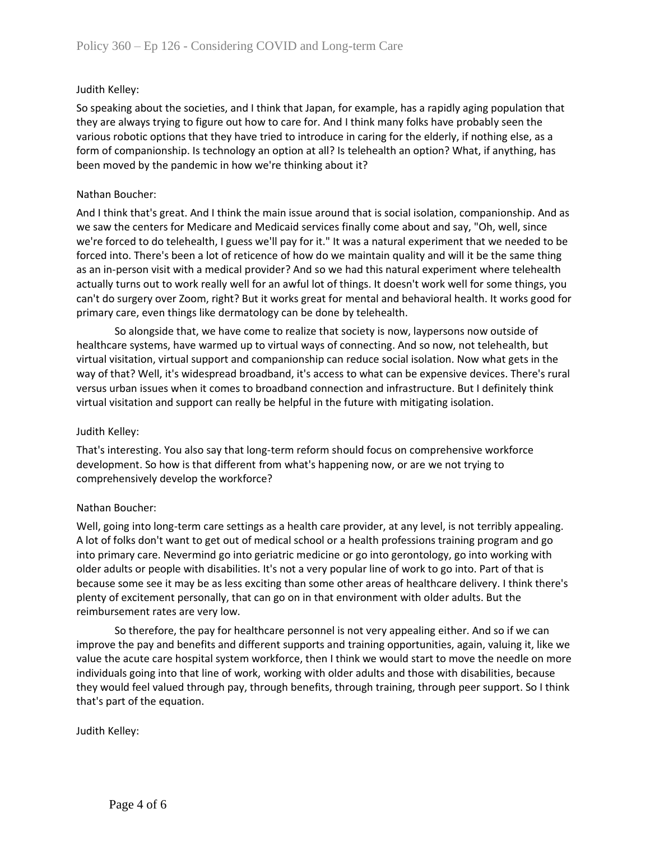## Judith Kelley:

So speaking about the societies, and I think that Japan, for example, has a rapidly aging population that they are always trying to figure out how to care for. And I think many folks have probably seen the various robotic options that they have tried to introduce in caring for the elderly, if nothing else, as a form of companionship. Is technology an option at all? Is telehealth an option? What, if anything, has been moved by the pandemic in how we're thinking about it?

## Nathan Boucher:

And I think that's great. And I think the main issue around that is social isolation, companionship. And as we saw the centers for Medicare and Medicaid services finally come about and say, "Oh, well, since we're forced to do telehealth, I guess we'll pay for it." It was a natural experiment that we needed to be forced into. There's been a lot of reticence of how do we maintain quality and will it be the same thing as an in-person visit with a medical provider? And so we had this natural experiment where telehealth actually turns out to work really well for an awful lot of things. It doesn't work well for some things, you can't do surgery over Zoom, right? But it works great for mental and behavioral health. It works good for primary care, even things like dermatology can be done by telehealth.

So alongside that, we have come to realize that society is now, laypersons now outside of healthcare systems, have warmed up to virtual ways of connecting. And so now, not telehealth, but virtual visitation, virtual support and companionship can reduce social isolation. Now what gets in the way of that? Well, it's widespread broadband, it's access to what can be expensive devices. There's rural versus urban issues when it comes to broadband connection and infrastructure. But I definitely think virtual visitation and support can really be helpful in the future with mitigating isolation.

### Judith Kelley:

That's interesting. You also say that long-term reform should focus on comprehensive workforce development. So how is that different from what's happening now, or are we not trying to comprehensively develop the workforce?

### Nathan Boucher:

Well, going into long-term care settings as a health care provider, at any level, is not terribly appealing. A lot of folks don't want to get out of medical school or a health professions training program and go into primary care. Nevermind go into geriatric medicine or go into gerontology, go into working with older adults or people with disabilities. It's not a very popular line of work to go into. Part of that is because some see it may be as less exciting than some other areas of healthcare delivery. I think there's plenty of excitement personally, that can go on in that environment with older adults. But the reimbursement rates are very low.

So therefore, the pay for healthcare personnel is not very appealing either. And so if we can improve the pay and benefits and different supports and training opportunities, again, valuing it, like we value the acute care hospital system workforce, then I think we would start to move the needle on more individuals going into that line of work, working with older adults and those with disabilities, because they would feel valued through pay, through benefits, through training, through peer support. So I think that's part of the equation.

Judith Kelley: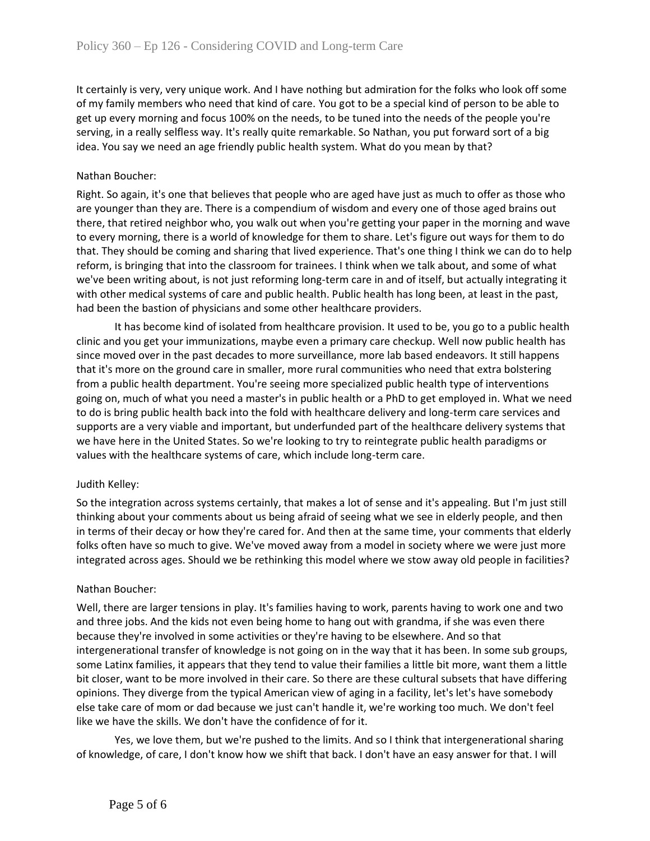It certainly is very, very unique work. And I have nothing but admiration for the folks who look off some of my family members who need that kind of care. You got to be a special kind of person to be able to get up every morning and focus 100% on the needs, to be tuned into the needs of the people you're serving, in a really selfless way. It's really quite remarkable. So Nathan, you put forward sort of a big idea. You say we need an age friendly public health system. What do you mean by that?

## Nathan Boucher:

Right. So again, it's one that believes that people who are aged have just as much to offer as those who are younger than they are. There is a compendium of wisdom and every one of those aged brains out there, that retired neighbor who, you walk out when you're getting your paper in the morning and wave to every morning, there is a world of knowledge for them to share. Let's figure out ways for them to do that. They should be coming and sharing that lived experience. That's one thing I think we can do to help reform, is bringing that into the classroom for trainees. I think when we talk about, and some of what we've been writing about, is not just reforming long-term care in and of itself, but actually integrating it with other medical systems of care and public health. Public health has long been, at least in the past, had been the bastion of physicians and some other healthcare providers.

It has become kind of isolated from healthcare provision. It used to be, you go to a public health clinic and you get your immunizations, maybe even a primary care checkup. Well now public health has since moved over in the past decades to more surveillance, more lab based endeavors. It still happens that it's more on the ground care in smaller, more rural communities who need that extra bolstering from a public health department. You're seeing more specialized public health type of interventions going on, much of what you need a master's in public health or a PhD to get employed in. What we need to do is bring public health back into the fold with healthcare delivery and long-term care services and supports are a very viable and important, but underfunded part of the healthcare delivery systems that we have here in the United States. So we're looking to try to reintegrate public health paradigms or values with the healthcare systems of care, which include long-term care.

### Judith Kelley:

So the integration across systems certainly, that makes a lot of sense and it's appealing. But I'm just still thinking about your comments about us being afraid of seeing what we see in elderly people, and then in terms of their decay or how they're cared for. And then at the same time, your comments that elderly folks often have so much to give. We've moved away from a model in society where we were just more integrated across ages. Should we be rethinking this model where we stow away old people in facilities?

### Nathan Boucher:

Well, there are larger tensions in play. It's families having to work, parents having to work one and two and three jobs. And the kids not even being home to hang out with grandma, if she was even there because they're involved in some activities or they're having to be elsewhere. And so that intergenerational transfer of knowledge is not going on in the way that it has been. In some sub groups, some Latinx families, it appears that they tend to value their families a little bit more, want them a little bit closer, want to be more involved in their care. So there are these cultural subsets that have differing opinions. They diverge from the typical American view of aging in a facility, let's let's have somebody else take care of mom or dad because we just can't handle it, we're working too much. We don't feel like we have the skills. We don't have the confidence of for it.

Yes, we love them, but we're pushed to the limits. And so I think that intergenerational sharing of knowledge, of care, I don't know how we shift that back. I don't have an easy answer for that. I will